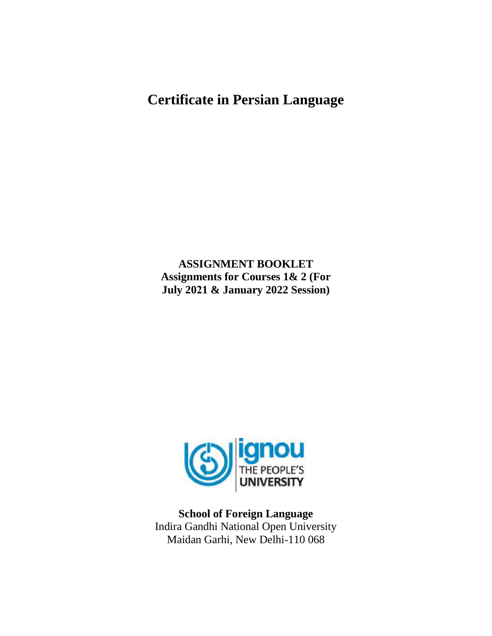# **Certificate in Persian Language**

**ASSIGNMENT BOOKLET Assignments for Courses 1& 2 (For July 2021 & January 2022 Session)**



**School of Foreign Language** Indira Gandhi National Open University Maidan Garhi, New Delhi-110 068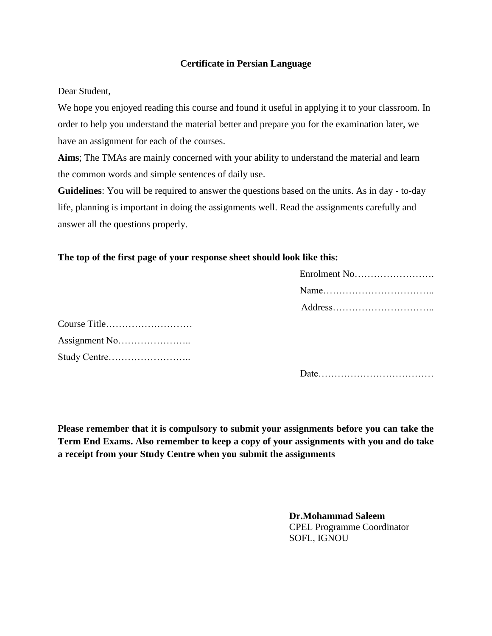## **Certificate in Persian Language**

Dear Student,

We hope you enjoyed reading this course and found it useful in applying it to your classroom. In order to help you understand the material better and prepare you for the examination later, we have an assignment for each of the courses.

**Aims**; The TMAs are mainly concerned with your ability to understand the material and learn the common words and simple sentences of daily use.

**Guidelines**: You will be required to answer the questions based on the units. As in day - to-day life, planning is important in doing the assignments well. Read the assignments carefully and answer all the questions properly.

# **The top of the first page of your response sheet should look like this:**

| Enrolment No |
|--------------|
|              |
|              |

Date………………………………

**Please remember that it is compulsory to submit your assignments before you can take the Term End Exams. Also remember to keep a copy of your assignments with you and do take a receipt from your Study Centre when you submit the assignments**

> **Dr.Mohammad Saleem** CPEL Programme Coordinator SOFL, IGNOU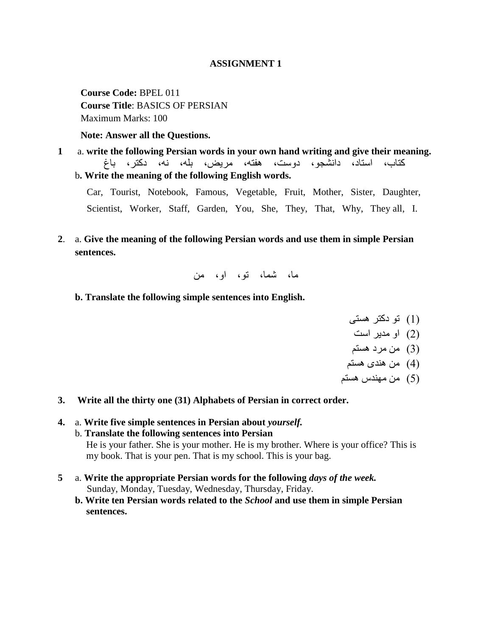#### **ASSIGNMENT 1**

**Course Code:** BPEL 011 **Course Title**: BASICS OF PERSIAN Maximum Marks: 100

**Note: Answer all the Questions.**

**1** a. **write the following Persian words in your own hand writing and give their meaning.** کتاب، استاد، دانشجو، دوست، هفته، مریض، بله، نه، دکتر، باغ b**. Write the meaning of the following English words.**

Car, Tourist, Notebook, Famous, Vegetable, Fruit, Mother, Sister, Daughter, Scientist, Worker, Staff, Garden, You, She, They, That, Why, They all, I.

**2**. a. **Give the meaning of the following Persian words and use them in simple Persian sentences.**

ما، شما، تو، او، من

**b. Translate the following simple sentences into English.**

)1( تُ دکتز ٌستی

)2( اَ مدیز است

- (3) من مرد هستم
- $(4)$  من هندی هستم
- (5) من مهندس هستم
- **3. Write all the thirty one (31) Alphabets of Persian in correct order.**
- **4.** a. **Write five simple sentences in Persian about** *yourself.* b. **Translate the following sentences into Persian** He is your father. She is your mother. He is my brother. Where is your office? This is my book. That is your pen. That is my school. This is your bag.
- **5** a. **Write the appropriate Persian words for the following** *days of the week.* Sunday, Monday, Tuesday, Wednesday, Thursday, Friday.
	- **b. Write ten Persian words related to the** *School* **and use them in simple Persian sentences.**